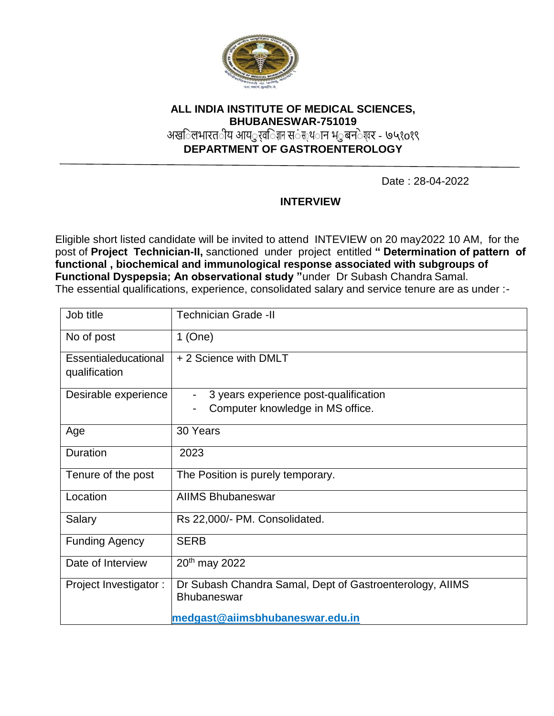

# **ALL INDIA INSTITUTE OF MEDICAL SCIENCES, BHUBANESWAR-751019**

अख**िलभारत**ीय आय*्र*त जिल स**ंस**्थ**ान भ**्रबन**ेश**र - ७५१o१९

**DEPARTMENT OF GASTROENTEROLOGY**

Date : 28-04-2022

## **INTERVIEW**

Eligible short listed candidate will be invited to attend INTEVIEW on 20 may2022 10 AM, for the post of **Project Technician-II,** sanctioned under project entitled **" Determination of pattern of functional , biochemical and immunological response associated with subgroups of Functional Dyspepsia; An observational study "**under Dr Subash Chandra Samal. The essential qualifications, experience, consolidated salary and service tenure are as under :-

| $1$ (One)<br>+ 2 Science with DMLT<br>3 years experience post-qualification<br>Computer knowledge in MS office.   |  |  |  |  |  |
|-------------------------------------------------------------------------------------------------------------------|--|--|--|--|--|
|                                                                                                                   |  |  |  |  |  |
|                                                                                                                   |  |  |  |  |  |
|                                                                                                                   |  |  |  |  |  |
|                                                                                                                   |  |  |  |  |  |
| 30 Years                                                                                                          |  |  |  |  |  |
| 2023                                                                                                              |  |  |  |  |  |
| The Position is purely temporary.                                                                                 |  |  |  |  |  |
| <b>AIIMS Bhubaneswar</b>                                                                                          |  |  |  |  |  |
| Rs 22,000/- PM. Consolidated.                                                                                     |  |  |  |  |  |
| <b>SERB</b>                                                                                                       |  |  |  |  |  |
| 20 <sup>th</sup> may 2022                                                                                         |  |  |  |  |  |
| Dr Subash Chandra Samal, Dept of Gastroenterology, AIIMS<br><b>Bhubaneswar</b><br>medgast@aiimsbhubaneswar.edu.in |  |  |  |  |  |
|                                                                                                                   |  |  |  |  |  |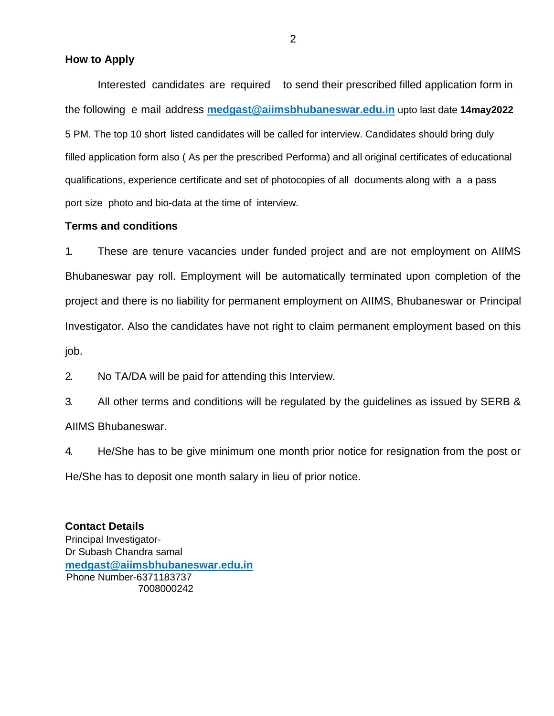#### **How to Apply**

Interested candidates are required to send their prescribed filled application form in the following e mail address **medgast@aiimsbhubaneswar.edu.in** upto last date **14may2022** 5 PM. The top 10 short listed candidates will be called for interview. Candidates should bring duly filled application form also ( As per the prescribed Performa) and all original certificates of educational qualifications, experience certificate and set of photocopies of all documents along with a a pass port size photo and bio-data at the time of interview.

#### **Terms and conditions**

1. These are tenure vacancies under funded project and are not employment on AIIMS Bhubaneswar pay roll. Employment will be automatically terminated upon completion of the project and there is no liability for permanent employment on AIIMS, Bhubaneswar or Principal Investigator. Also the candidates have not right to claim permanent employment based on this job.

2. No TA/DA will be paid for attending this Interview.

3. All other terms and conditions will be regulated by the guidelines as issued by SERB & AIIMS Bhubaneswar.

4. He/She has to be give minimum one month prior notice for resignation from the post or He/She has to deposit one month salary in lieu of prior notice.

**Contact Details** Principal Investigator-Dr Subash Chandra samal **medgast@aiimsbhubaneswar.edu.in** Phone Number-6371183737 7008000242